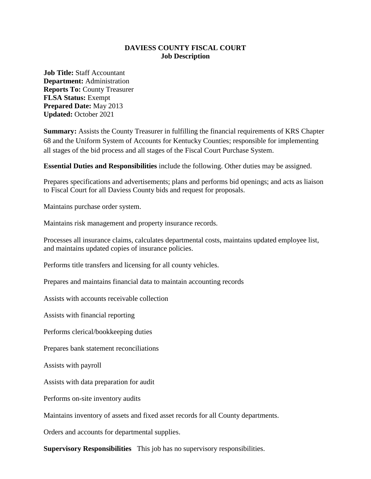## **DAVIESS COUNTY FISCAL COURT Job Description**

**Job Title:** Staff Accountant **Department:** Administration **Reports To:** County Treasurer **FLSA Status:** Exempt **Prepared Date:** May 2013 **Updated:** October 2021

**Summary:** Assists the County Treasurer in fulfilling the financial requirements of KRS Chapter 68 and the Uniform System of Accounts for Kentucky Counties; responsible for implementing all stages of the bid process and all stages of the Fiscal Court Purchase System.

**Essential Duties and Responsibilities** include the following. Other duties may be assigned.

Prepares specifications and advertisements; plans and performs bid openings; and acts as liaison to Fiscal Court for all Daviess County bids and request for proposals.

Maintains purchase order system.

Maintains risk management and property insurance records.

Processes all insurance claims, calculates departmental costs, maintains updated employee list, and maintains updated copies of insurance policies.

Performs title transfers and licensing for all county vehicles.

Prepares and maintains financial data to maintain accounting records

Assists with accounts receivable collection

Assists with financial reporting

Performs clerical/bookkeeping duties

Prepares bank statement reconciliations

Assists with payroll

Assists with data preparation for audit

Performs on-site inventory audits

Maintains inventory of assets and fixed asset records for all County departments.

Orders and accounts for departmental supplies.

**Supervisory Responsibilities** This job has no supervisory responsibilities.